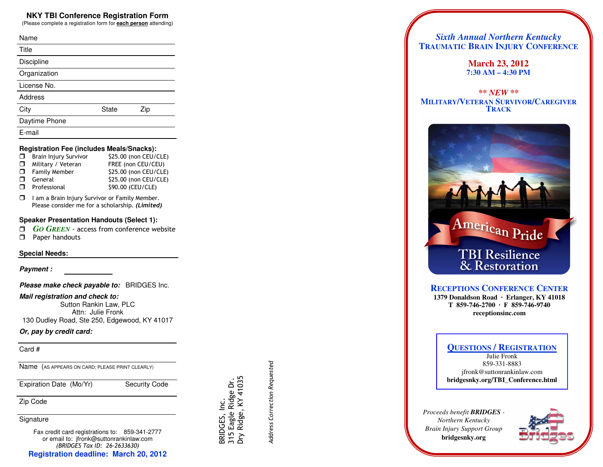## **NKY TBI Conference Registration Form**

(Please complete a registration form for **each person** attending)

| Name           |              |     |
|----------------|--------------|-----|
| Title          |              |     |
| Discipline     |              |     |
| Organization   |              |     |
| License No.    |              |     |
| <b>Address</b> |              |     |
| City           | <b>State</b> | Zip |
| Daytime Phone  |              |     |
| E-mail         |              |     |

### **Registration Fee (includes Meals/Snacks):**

|        | $\Box$ Brain Injury Survivor | \$25.00 (non CEU/CLE) |
|--------|------------------------------|-----------------------|
|        | $\Box$ Military / Veteran    | FREE (non CEU/CEU)    |
|        | $\Box$ Family Member         | \$25.00 (non CEU/CLE) |
|        | $\Box$ General               | \$25.00 (non CEU/CLE) |
| $\Box$ | Professional                 | \$90.00 (CEU/CLE)     |

 $\Box$  I am a Brain Injury Survivor or Family Member. Please consider me for a scholarship. (Limited)

### **Speaker Presentation Handouts (Select 1):**

- *GO GREEN* access from conference website
- Paper handouts

### **Special Needs:**

**Payment :** 

**Please make check payable to:** BRIDGES Inc.

**Mail registration and check to:** 

 Sutton Rankin Law, PLC Attn: Julie Fronk 130 Dudley Road, Ste 250, Edgewood, KY 41017

## **Or, pay by credit card:**

Card #

Name (AS APPEARS ON CARD; PLEASE PRINT CLEARLY)

Expiration Date (Mo/Yr) Security Code

Zip Code

**Signature** 

Fax credit card registrations to: 859-341-2777 or email to: jfronk@suttonrankinlaw.com (BRIDGES Tax ID: 26-2633630)**Registration deadline: March 20, 2012** 

 Address Correction Requested Address Correction Requested

 BRIDGES, Inc. 315 Eagle Ridge Dr. Dry Ridge, KY 41035

BRIDGES, Inc.

315 Eagle Ridge Dr.<br>Dry Ridge, KY 41035

# *Sixth Annual Northern Kentucky* **TRAUMATIC BRAIN INJURY CONFERENCE**

**March 23, 2012 7:30 AM – 4:30 PM** 

*\*\* NEW \*\**  **MILITARY/VETERAN SURVIVOR/CAREGIVERTRACK**



## **RECEPTIONS CONFERENCE CENTER**

 **1379 Donaldson Road · Erlanger, KY 41018 T 859-746-2700 · F 859-746-9740 receptionsinc.com** 

## **QUESTIONS / REGISTRATION**

Julie Fronk 859-331-8883 jfronk@suttonrankinlaw.com **bridgesnky.org/TBI\_Conference.html** 

*Proceeds benefit BRIDGES - Northern Kentucky Brain Injury Support Group* **bridgesnky.org**